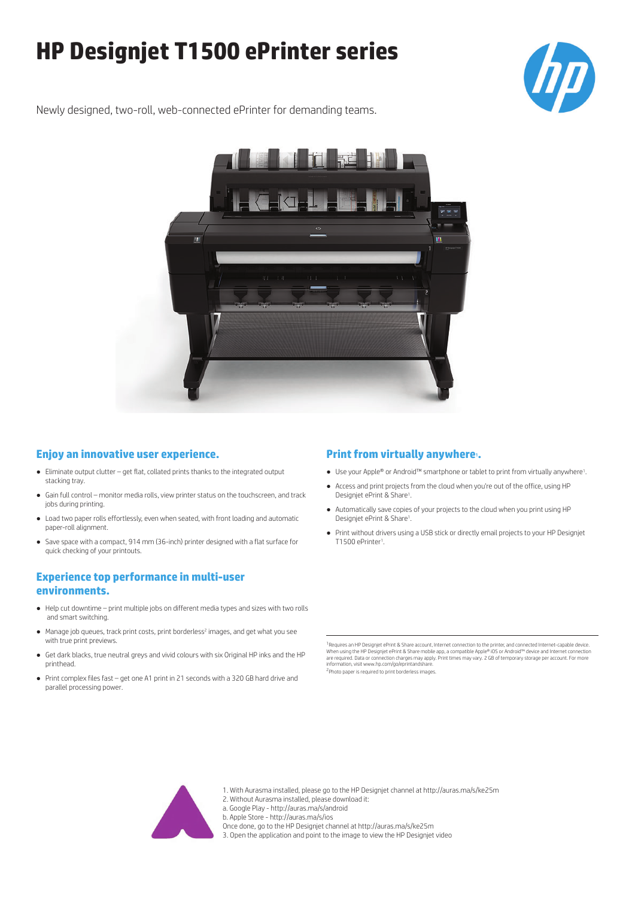# **HP Designjet T1500 ePrinter series**



Newly designed, two-roll, web-connected ePrinter for demanding teams.



## **Enjoy an innovative user experience.**

- Eliminate output clutter get flat, collated prints thanks to the integrated output stacking tray.
- Gain full control monitor media rolls, view printer status on the touchscreen, and track jobs during printing.
- Load two paper rolls effortlessly, even when seated, with front loading and automatic paper-roll alignment.
- Save space with a compact, 914 mm (36-inch) printer designed with a flat surface for quick checking of your printouts.

# **Experience top performance in multi-user environments.**

- Help cut downtime print multiple jobs on different media types and sizes with two rolls and smart switching.
- Manage job queues, track print costs, print borderless<sup>2</sup> images, and get what you see with true print previews.
- Get dark blacks, true neutral greys and vivid colours with six Original HP inks and the HP printhead.
- Print complex files fast get one A1 print in 21 seconds with a 320 GB hard drive and parallel processing power.

## **Print from virtually anywhere**<sup>1</sup>.

- Use your Apple® or Android™ smartphone or tablet to print from virtually anywhere<sup>1</sup>.
- Access and print projects from the cloud when you're out of the office, using HP Designjet ePrint & Share<sup>1</sup>.
- Automatically save copies of your projects to the cloud when you print using HP Designjet ePrint & Share<sup>1</sup>.
- Print without drivers using a USB stick or directly email projects to your HP Designjet T1500 ePrinter<sup>1</sup>.

<sup>1</sup> Requires an HP Designiet ePrint & Share account, Internet connection to the printer, and connected Internet-capable device When using the HP Designjet ePrint & Share mobile app, a compatible Apple® iOS or Android™ device and Internet connection<br>are required. Data or connection charges may apply. Print times may vary. 2 GB of temporary storage

<sup>2</sup>Photo paper is required to print borderless images



- 1. With Aurasma installed, please go to the HP Designjet channel at http://auras.ma/s/ke25m
- 2. Without Aurasma installed, please download it:

a. Google Play - http://auras.ma/s/android

b. Apple Store - http://auras.ma/s/ios

Once done, go to the HP Designjet channel at http://auras.ma/s/ke25m

3. Open the application and point to the image to view the HP Designjet video